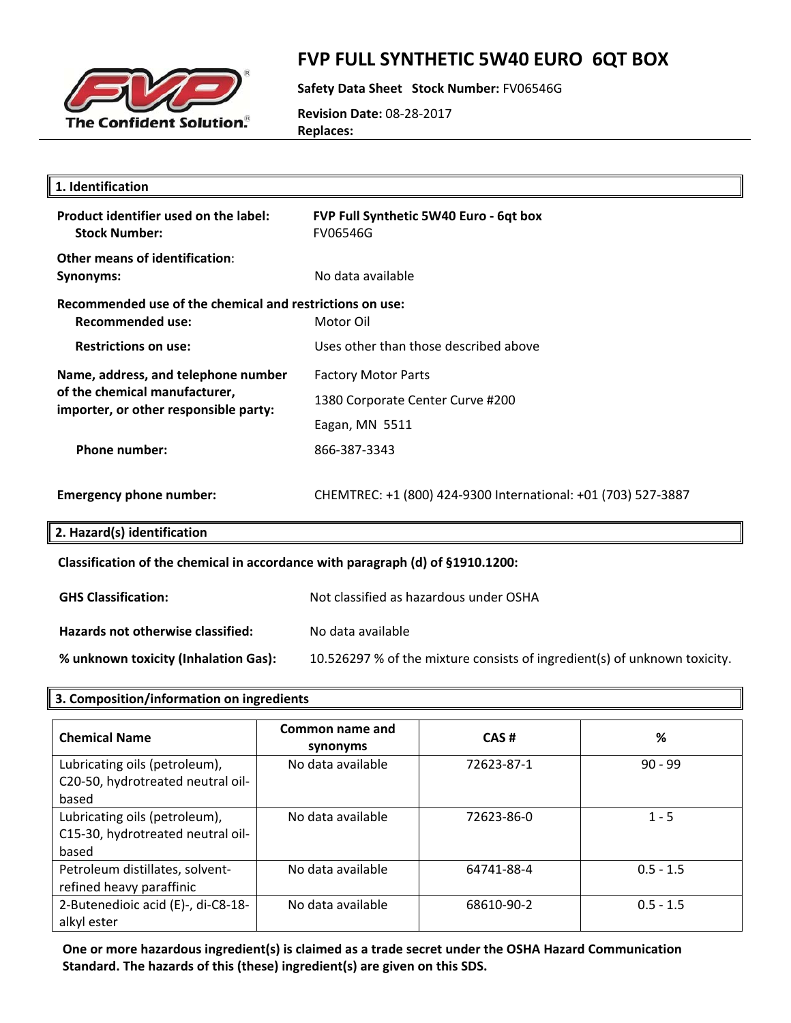

### **FVP FULL SYNTHETIC 5W40 EURO 6QT BOX**

**Safety Data Sheet Stock Number:** FV06546G

**Revision Date:** 08‐28‐2017 **Replaces:**

| 1. Identification                                                                                             |                                                               |  |
|---------------------------------------------------------------------------------------------------------------|---------------------------------------------------------------|--|
| Product identifier used on the label:<br><b>Stock Number:</b>                                                 | FVP Full Synthetic 5W40 Euro - 6qt box<br><b>FV06546G</b>     |  |
| Other means of identification:<br><b>Synonyms:</b>                                                            | No data available                                             |  |
| Recommended use of the chemical and restrictions on use:<br><b>Recommended use:</b>                           | Motor Oil                                                     |  |
| <b>Restrictions on use:</b>                                                                                   | Uses other than those described above                         |  |
| Name, address, and telephone number<br>of the chemical manufacturer,<br>importer, or other responsible party: | <b>Factory Motor Parts</b>                                    |  |
|                                                                                                               | 1380 Corporate Center Curve #200                              |  |
|                                                                                                               | Eagan, MN 5511                                                |  |
| <b>Phone number:</b>                                                                                          | 866-387-3343                                                  |  |
| <b>Emergency phone number:</b>                                                                                | CHEMTREC: +1 (800) 424-9300 International: +01 (703) 527-3887 |  |
| 2. Hazard(s) identification                                                                                   |                                                               |  |
| Classification of the chemical in accordance with paragraph (d) of §1910.1200:                                |                                                               |  |
| <b>GHS Classification:</b>                                                                                    | Not classified as hazardous under OSHA                        |  |

**Hazards not otherwise classified:** No data available

**% unknown toxicity (Inhalation Gas):** 10.526297 % of the mixture consists of ingredient(s) of unknown toxicity.

### **3. Composition/information on ingredients**

| <b>Chemical Name</b>                                                        | Common name and<br>synonyms | CAS#       | %           |
|-----------------------------------------------------------------------------|-----------------------------|------------|-------------|
| Lubricating oils (petroleum),<br>C20-50, hydrotreated neutral oil-<br>based | No data available           | 72623-87-1 | $90 - 99$   |
| Lubricating oils (petroleum),<br>C15-30, hydrotreated neutral oil-<br>based | No data available           | 72623-86-0 | $1 - 5$     |
| Petroleum distillates, solvent-<br>refined heavy paraffinic                 | No data available           | 64741-88-4 | $0.5 - 1.5$ |
| 2-Butenedioic acid (E)-, di-C8-18-<br>alkyl ester                           | No data available           | 68610-90-2 | $0.5 - 1.5$ |

**One or more hazardous ingredient(s) is claimed as a trade secret under the OSHA Hazard Communication Standard. The hazards of this (these) ingredient(s) are given on this SDS.**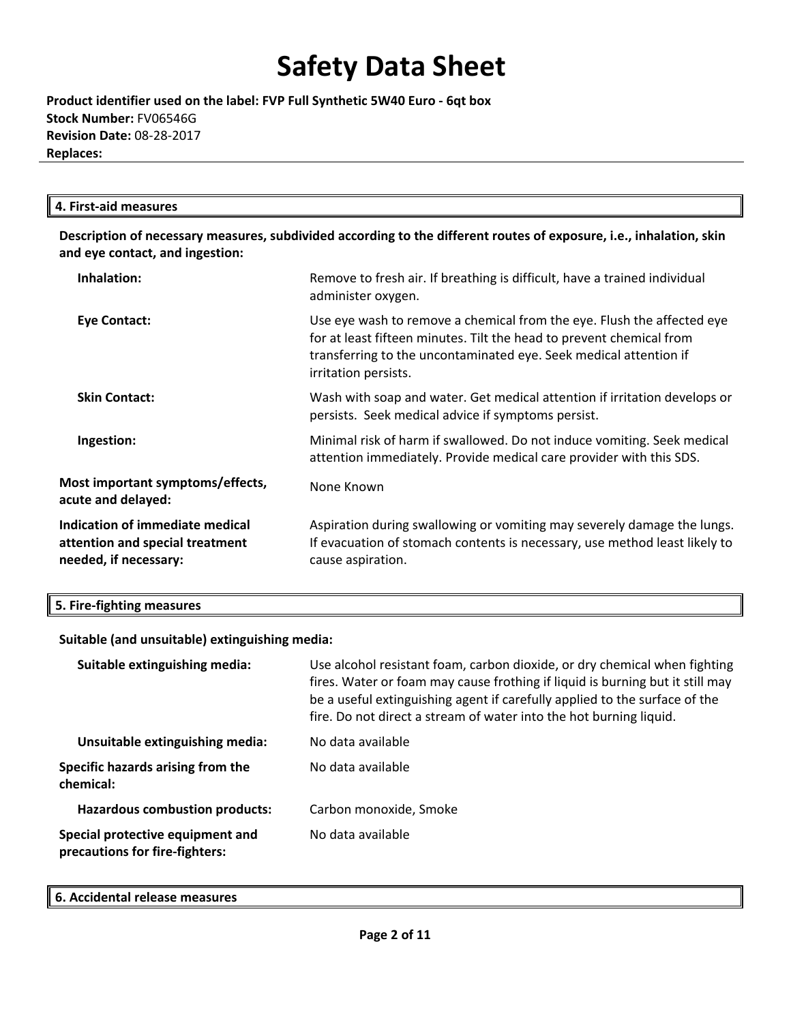**Product identifier used on the label: FVP Full Synthetic 5W40 Euro ‐ 6qt box Stock Number:** FV06546G **Revision Date:** 08‐28‐2017 **Replaces:**

### **4. First‐aid measures**

**Description of necessary measures, subdivided according to the different routes of exposure, i.e., inhalation, skin and eye contact, and ingestion:**

| Inhalation:                                                                                 | Remove to fresh air. If breathing is difficult, have a trained individual<br>administer oxygen.                                                                                                                                             |
|---------------------------------------------------------------------------------------------|---------------------------------------------------------------------------------------------------------------------------------------------------------------------------------------------------------------------------------------------|
| Eye Contact:                                                                                | Use eye wash to remove a chemical from the eye. Flush the affected eye<br>for at least fifteen minutes. Tilt the head to prevent chemical from<br>transferring to the uncontaminated eye. Seek medical attention if<br>irritation persists. |
| <b>Skin Contact:</b>                                                                        | Wash with soap and water. Get medical attention if irritation develops or<br>persists. Seek medical advice if symptoms persist.                                                                                                             |
| Ingestion:                                                                                  | Minimal risk of harm if swallowed. Do not induce vomiting. Seek medical<br>attention immediately. Provide medical care provider with this SDS.                                                                                              |
| Most important symptoms/effects,<br>acute and delayed:                                      | None Known                                                                                                                                                                                                                                  |
| Indication of immediate medical<br>attention and special treatment<br>needed, if necessary: | Aspiration during swallowing or vomiting may severely damage the lungs.<br>If evacuation of stomach contents is necessary, use method least likely to<br>cause aspiration.                                                                  |

| 5. Fire-fighting measures |  |
|---------------------------|--|
|---------------------------|--|

### **Suitable (and unsuitable) extinguishing media:**

| Suitable extinguishing media:                                      | Use alcohol resistant foam, carbon dioxide, or dry chemical when fighting<br>fires. Water or foam may cause frothing if liquid is burning but it still may<br>be a useful extinguishing agent if carefully applied to the surface of the<br>fire. Do not direct a stream of water into the hot burning liquid. |
|--------------------------------------------------------------------|----------------------------------------------------------------------------------------------------------------------------------------------------------------------------------------------------------------------------------------------------------------------------------------------------------------|
| Unsuitable extinguishing media:                                    | No data available                                                                                                                                                                                                                                                                                              |
| Specific hazards arising from the<br>chemical:                     | No data available                                                                                                                                                                                                                                                                                              |
| <b>Hazardous combustion products:</b>                              | Carbon monoxide, Smoke                                                                                                                                                                                                                                                                                         |
| Special protective equipment and<br>precautions for fire-fighters: | No data available                                                                                                                                                                                                                                                                                              |

#### **6. Accidental release measures**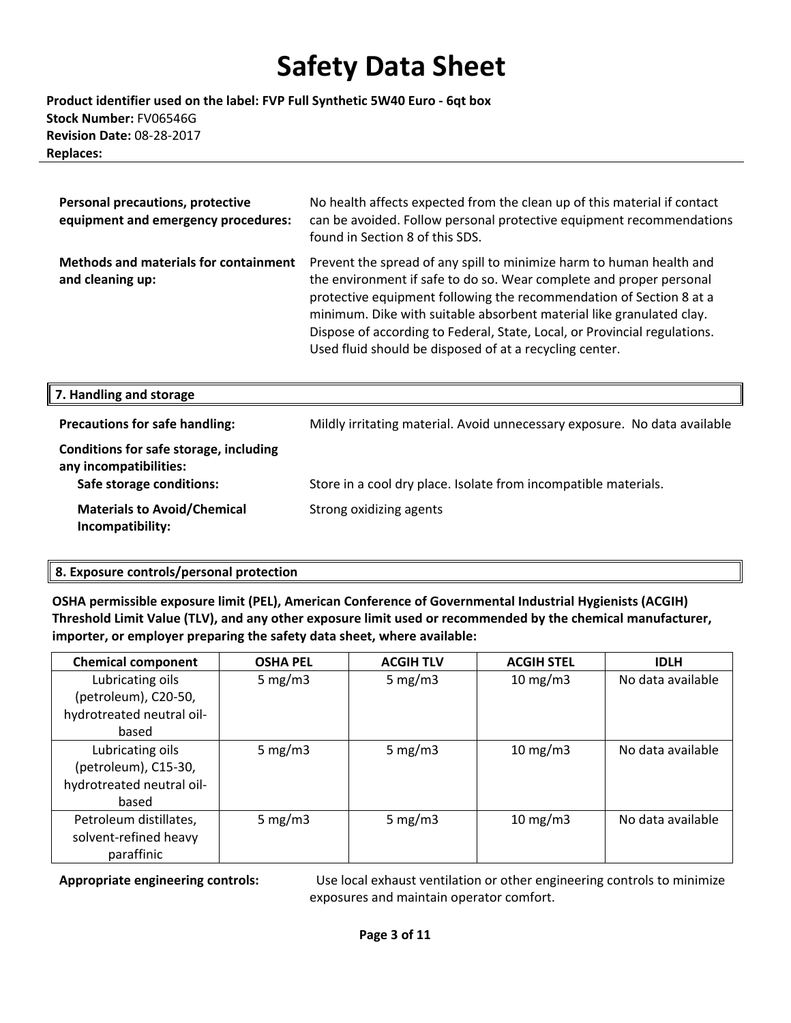**Product identifier used on the label: FVP Full Synthetic 5W40 Euro ‐ 6qt box Stock Number:** FV06546G **Revision Date:** 08‐28‐2017 **Replaces:**

| <b>Personal precautions, protective</b><br>equipment and emergency procedures: | No health affects expected from the clean up of this material if contact<br>can be avoided. Follow personal protective equipment recommendations<br>found in Section 8 of this SDS.                                                                                                                                                                                                                                                |
|--------------------------------------------------------------------------------|------------------------------------------------------------------------------------------------------------------------------------------------------------------------------------------------------------------------------------------------------------------------------------------------------------------------------------------------------------------------------------------------------------------------------------|
| <b>Methods and materials for containment</b><br>and cleaning up:               | Prevent the spread of any spill to minimize harm to human health and<br>the environment if safe to do so. Wear complete and proper personal<br>protective equipment following the recommendation of Section 8 at a<br>minimum. Dike with suitable absorbent material like granulated clay.<br>Dispose of according to Federal, State, Local, or Provincial regulations.<br>Used fluid should be disposed of at a recycling center. |
| 7. Handling and storage                                                        |                                                                                                                                                                                                                                                                                                                                                                                                                                    |

| <b>Precautions for safe handling:</b>                                                        | Mildly irritating material. Avoid unnecessary exposure. No data available |
|----------------------------------------------------------------------------------------------|---------------------------------------------------------------------------|
| Conditions for safe storage, including<br>any incompatibilities:<br>Safe storage conditions: | Store in a cool dry place. Isolate from incompatible materials.           |
| <b>Materials to Avoid/Chemical</b><br>Incompatibility:                                       | Strong oxidizing agents                                                   |

### **8. Exposure controls/personal protection**

╨

**OSHA permissible exposure limit (PEL), American Conference of Governmental Industrial Hygienists (ACGIH) Threshold Limit Value (TLV), and any other exposure limit used or recommended by the chemical manufacturer, importer, or employer preparing the safety data sheet, where available:**

| <b>Chemical component</b> | <b>OSHA PEL</b> | <b>ACGIH TLV</b> | <b>ACGIH STEL</b> | <b>IDLH</b>       |
|---------------------------|-----------------|------------------|-------------------|-------------------|
| Lubricating oils          | 5 mg/m $3$      | 5 mg/m $3$       | $10 \text{ mg/m}$ | No data available |
| (petroleum), C20-50,      |                 |                  |                   |                   |
| hydrotreated neutral oil- |                 |                  |                   |                   |
| based                     |                 |                  |                   |                   |
| Lubricating oils          | 5 mg/m $3$      | 5 mg/m $3$       | $10 \text{ mg/m}$ | No data available |
| (petroleum), C15-30,      |                 |                  |                   |                   |
| hydrotreated neutral oil- |                 |                  |                   |                   |
| based                     |                 |                  |                   |                   |
| Petroleum distillates,    | 5 mg/m $3$      | 5 mg/m $3$       | $10 \text{ mg/m}$ | No data available |
| solvent-refined heavy     |                 |                  |                   |                   |
| paraffinic                |                 |                  |                   |                   |

**Appropriate engineering controls:** Use local exhaust ventilation or other engineering controls to minimize exposures and maintain operator comfort.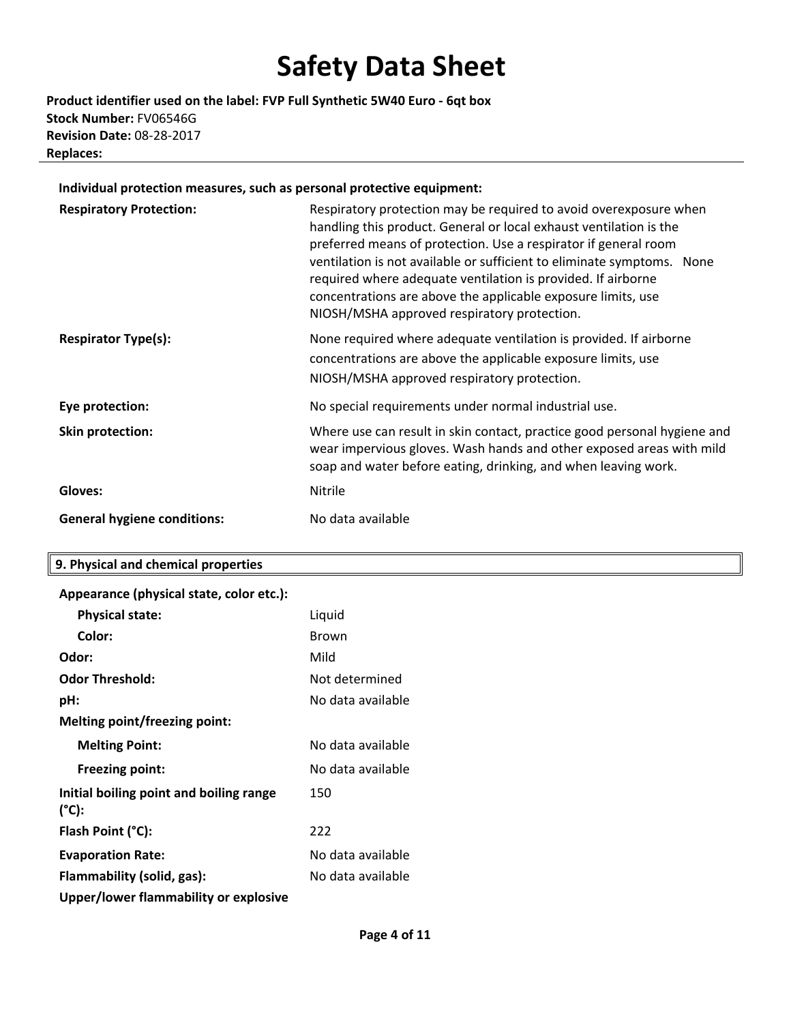**Product identifier used on the label: FVP Full Synthetic 5W40 Euro ‐ 6qt box Stock Number:** FV06546G **Revision Date:** 08‐28‐2017 **Replaces:**

#### **Individual protection measures, such as personal protective equipment:**

| <b>Respiratory Protection:</b>     | Respiratory protection may be required to avoid overexposure when<br>handling this product. General or local exhaust ventilation is the<br>preferred means of protection. Use a respirator if general room<br>ventilation is not available or sufficient to eliminate symptoms. None<br>required where adequate ventilation is provided. If airborne<br>concentrations are above the applicable exposure limits, use<br>NIOSH/MSHA approved respiratory protection. |
|------------------------------------|---------------------------------------------------------------------------------------------------------------------------------------------------------------------------------------------------------------------------------------------------------------------------------------------------------------------------------------------------------------------------------------------------------------------------------------------------------------------|
| <b>Respirator Type(s):</b>         | None required where adequate ventilation is provided. If airborne<br>concentrations are above the applicable exposure limits, use<br>NIOSH/MSHA approved respiratory protection.                                                                                                                                                                                                                                                                                    |
| Eye protection:                    | No special requirements under normal industrial use.                                                                                                                                                                                                                                                                                                                                                                                                                |
| <b>Skin protection:</b>            | Where use can result in skin contact, practice good personal hygiene and<br>wear impervious gloves. Wash hands and other exposed areas with mild<br>soap and water before eating, drinking, and when leaving work.                                                                                                                                                                                                                                                  |
| Gloves:                            | <b>Nitrile</b>                                                                                                                                                                                                                                                                                                                                                                                                                                                      |
| <b>General hygiene conditions:</b> | No data available                                                                                                                                                                                                                                                                                                                                                                                                                                                   |

#### **9. Physical and chemical properties**

| Appearance (physical state, color etc.):         |                   |
|--------------------------------------------------|-------------------|
| <b>Physical state:</b>                           | Liquid            |
| Color:                                           | <b>Brown</b>      |
| Odor:                                            | Mild              |
| <b>Odor Threshold:</b>                           | Not determined    |
| pH:                                              | No data available |
| Melting point/freezing point:                    |                   |
| <b>Melting Point:</b>                            | No data available |
| <b>Freezing point:</b>                           | No data available |
| Initial boiling point and boiling range<br>(°C): | 150               |
| Flash Point (°C):                                | 222               |
| <b>Evaporation Rate:</b>                         | No data available |
| Flammability (solid, gas):                       | No data available |
| Upper/lower flammability or explosive            |                   |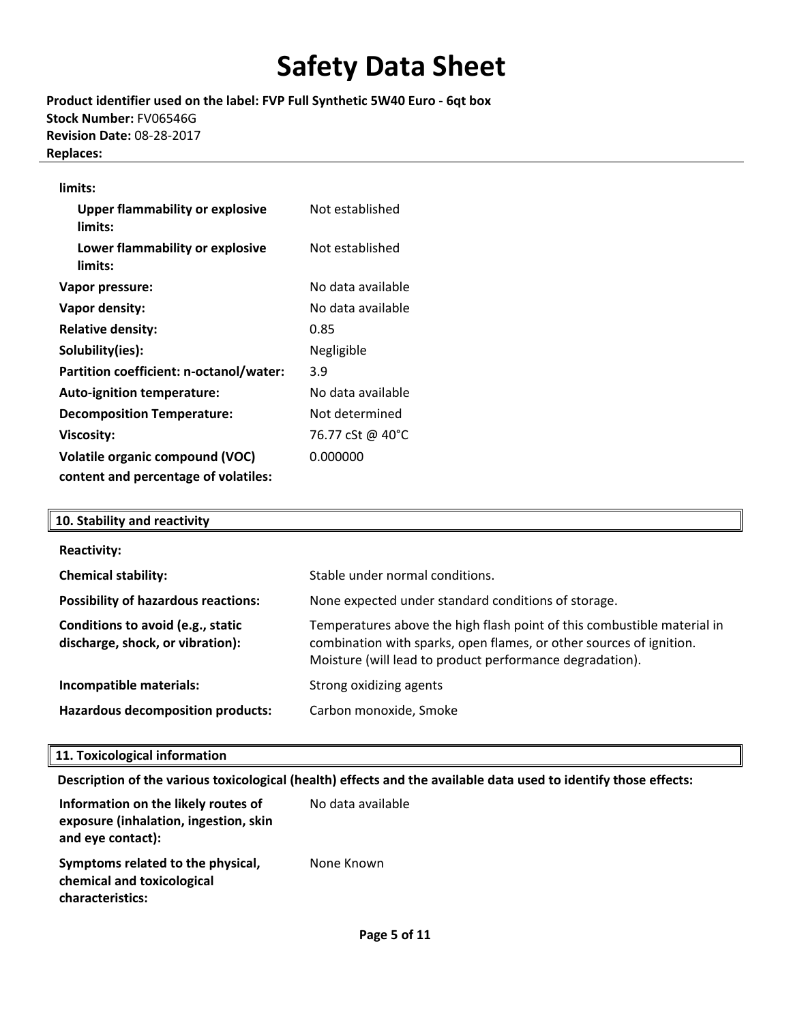**Product identifier used on the label: FVP Full Synthetic 5W40 Euro ‐ 6qt box Stock Number:** FV06546G **Revision Date:** 08‐28‐2017 **Replaces:**

#### **limits:**

| <b>Upper flammability or explosive</b><br>limits: | Not established   |
|---------------------------------------------------|-------------------|
| Lower flammability or explosive<br>limits:        | Not established   |
| Vapor pressure:                                   | No data available |
| Vapor density:                                    | No data available |
| <b>Relative density:</b>                          | 0.85              |
| Solubility(ies):                                  | Negligible        |
| Partition coefficient: n-octanol/water:           | 3.9               |
| Auto-ignition temperature:                        | No data available |
| <b>Decomposition Temperature:</b>                 | Not determined    |
| <b>Viscosity:</b>                                 | 76.77 cSt @ 40°C  |
| <b>Volatile organic compound (VOC)</b>            | 0.000000          |
| content and percentage of volatiles:              |                   |

| 10. Stability and reactivity                                          |                                                                                                                                                                                                            |
|-----------------------------------------------------------------------|------------------------------------------------------------------------------------------------------------------------------------------------------------------------------------------------------------|
| <b>Reactivity:</b>                                                    |                                                                                                                                                                                                            |
| <b>Chemical stability:</b>                                            | Stable under normal conditions.                                                                                                                                                                            |
| <b>Possibility of hazardous reactions:</b>                            | None expected under standard conditions of storage.                                                                                                                                                        |
| Conditions to avoid (e.g., static<br>discharge, shock, or vibration): | Temperatures above the high flash point of this combustible material in<br>combination with sparks, open flames, or other sources of ignition.<br>Moisture (will lead to product performance degradation). |
| Incompatible materials:                                               | Strong oxidizing agents                                                                                                                                                                                    |
| Hazardous decomposition products:                                     | Carbon monoxide, Smoke                                                                                                                                                                                     |

### **11. Toxicological information**

**Description of the various toxicological (health) effects and the available data used to identify those effects:**

| Information on the likely routes of<br>exposure (inhalation, ingestion, skin<br>and eye contact): | No data available |
|---------------------------------------------------------------------------------------------------|-------------------|
| Symptoms related to the physical,<br>chemical and toxicological<br>characteristics:               | None Known        |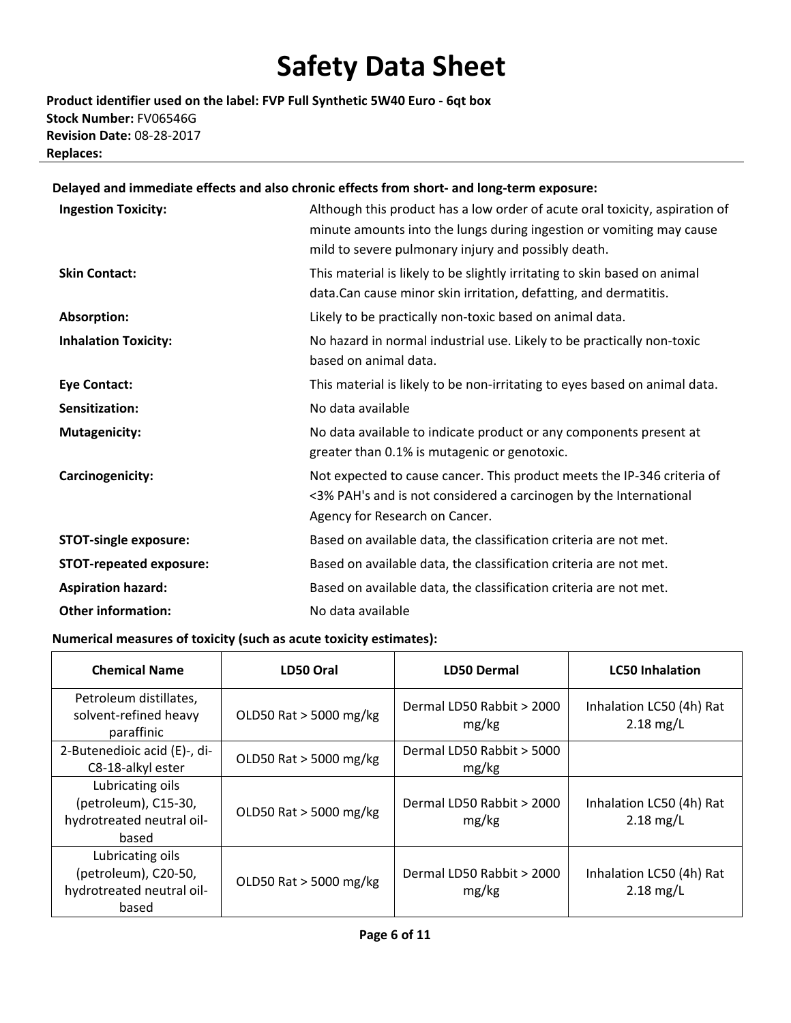**Product identifier used on the label: FVP Full Synthetic 5W40 Euro ‐ 6qt box Stock Number:** FV06546G **Revision Date:** 08‐28‐2017 **Replaces:**

### **Delayed and immediate effects and also chronic effects from short‐ and long‐term exposure:**

| <b>Ingestion Toxicity:</b>     | Although this product has a low order of acute oral toxicity, aspiration of<br>minute amounts into the lungs during ingestion or vomiting may cause<br>mild to severe pulmonary injury and possibly death. |
|--------------------------------|------------------------------------------------------------------------------------------------------------------------------------------------------------------------------------------------------------|
| <b>Skin Contact:</b>           | This material is likely to be slightly irritating to skin based on animal<br>data. Can cause minor skin irritation, defatting, and dermatitis.                                                             |
| Absorption:                    | Likely to be practically non-toxic based on animal data.                                                                                                                                                   |
| <b>Inhalation Toxicity:</b>    | No hazard in normal industrial use. Likely to be practically non-toxic<br>based on animal data.                                                                                                            |
| <b>Eye Contact:</b>            | This material is likely to be non-irritating to eyes based on animal data.                                                                                                                                 |
| Sensitization:                 | No data available                                                                                                                                                                                          |
| <b>Mutagenicity:</b>           | No data available to indicate product or any components present at<br>greater than 0.1% is mutagenic or genotoxic.                                                                                         |
| Carcinogenicity:               | Not expected to cause cancer. This product meets the IP-346 criteria of<br><3% PAH's and is not considered a carcinogen by the International<br>Agency for Research on Cancer.                             |
| <b>STOT-single exposure:</b>   | Based on available data, the classification criteria are not met.                                                                                                                                          |
| <b>STOT-repeated exposure:</b> | Based on available data, the classification criteria are not met.                                                                                                                                          |
| <b>Aspiration hazard:</b>      | Based on available data, the classification criteria are not met.                                                                                                                                          |
| <b>Other information:</b>      | No data available                                                                                                                                                                                          |

#### **Numerical measures of toxicity (such as acute toxicity estimates):**

| <b>Chemical Name</b>                                                           | LD50 Oral              | <b>LD50 Dermal</b>                 | <b>LC50 Inhalation</b>                  |
|--------------------------------------------------------------------------------|------------------------|------------------------------------|-----------------------------------------|
| Petroleum distillates,<br>solvent-refined heavy<br>paraffinic                  | OLD50 Rat > 5000 mg/kg | Dermal LD50 Rabbit > 2000<br>mg/kg | Inhalation LC50 (4h) Rat<br>$2.18$ mg/L |
| 2-Butenedioic acid (E)-, di-<br>C8-18-alkyl ester                              | OLD50 Rat > 5000 mg/kg | Dermal LD50 Rabbit > 5000<br>mg/kg |                                         |
| Lubricating oils<br>(petroleum), C15-30,<br>hydrotreated neutral oil-<br>based | OLD50 Rat > 5000 mg/kg | Dermal LD50 Rabbit > 2000<br>mg/kg | Inhalation LC50 (4h) Rat<br>$2.18$ mg/L |
| Lubricating oils<br>(petroleum), C20-50,<br>hydrotreated neutral oil-<br>based | OLD50 Rat > 5000 mg/kg | Dermal LD50 Rabbit > 2000<br>mg/kg | Inhalation LC50 (4h) Rat<br>$2.18$ mg/L |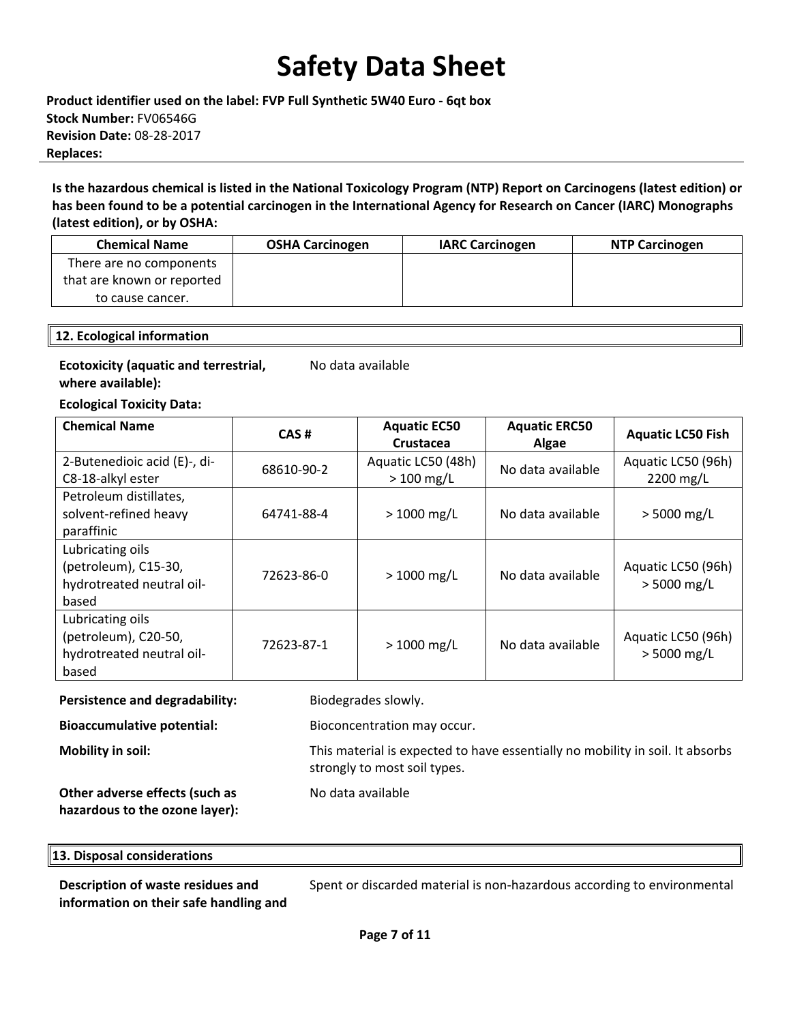**Product identifier used on the label: FVP Full Synthetic 5W40 Euro ‐ 6qt box Stock Number:** FV06546G **Revision Date:** 08‐28‐2017 **Replaces:**

Is the hazardous chemical is listed in the National Toxicology Program (NTP) Report on Carcinogens (latest edition) or has been found to be a potential carcinogen in the International Agency for Research on Cancer (IARC) Monographs **(latest edition), or by OSHA:**

| <b>Chemical Name</b>       | <b>OSHA Carcinogen</b> | <b>IARC Carcinogen</b> | <b>NTP Carcinogen</b> |
|----------------------------|------------------------|------------------------|-----------------------|
| There are no components    |                        |                        |                       |
| that are known or reported |                        |                        |                       |
| to cause cancer.           |                        |                        |                       |

#### **12. Ecological information**

### **Ecotoxicity (aquatic and terrestrial, where available):**

No data available

**Ecological Toxicity Data:** 

| <b>Chemical Name</b>                                                           | CAS#       | <b>Aquatic EC50</b><br>Crustacea  | <b>Aquatic ERC50</b><br>Algae | <b>Aquatic LC50 Fish</b>            |
|--------------------------------------------------------------------------------|------------|-----------------------------------|-------------------------------|-------------------------------------|
| 2-Butenedioic acid (E)-, di-<br>C8-18-alkyl ester                              | 68610-90-2 | Aquatic LC50 (48h)<br>$>100$ mg/L | No data available             | Aquatic LC50 (96h)<br>2200 mg/L     |
| Petroleum distillates,<br>solvent-refined heavy<br>paraffinic                  | 64741-88-4 | $> 1000$ mg/L                     | No data available             | $> 5000$ mg/L                       |
| Lubricating oils<br>(petroleum), C15-30,<br>hydrotreated neutral oil-<br>based | 72623-86-0 | $> 1000$ mg/L                     | No data available             | Aquatic LC50 (96h)<br>$> 5000$ mg/L |
| Lubricating oils<br>(petroleum), C20-50,<br>hydrotreated neutral oil-<br>based | 72623-87-1 | $> 1000$ mg/L                     | No data available             | Aquatic LC50 (96h)<br>$> 5000$ mg/L |

#### **Persistence and degradability:** Biodegrades slowly.

No data available

strongly to most soil types.

**Bioaccumulative potential:** Bioconcentration may occur.

**Mobility in soil:** This material is expected to have essentially no mobility in soil. It absorbs

**Other adverse effects (such as hazardous to the ozone layer):**

### **13. Disposal considerations**

**Description of waste residues and information on their safe handling and**

Spent or discarded material is non‐hazardous according to environmental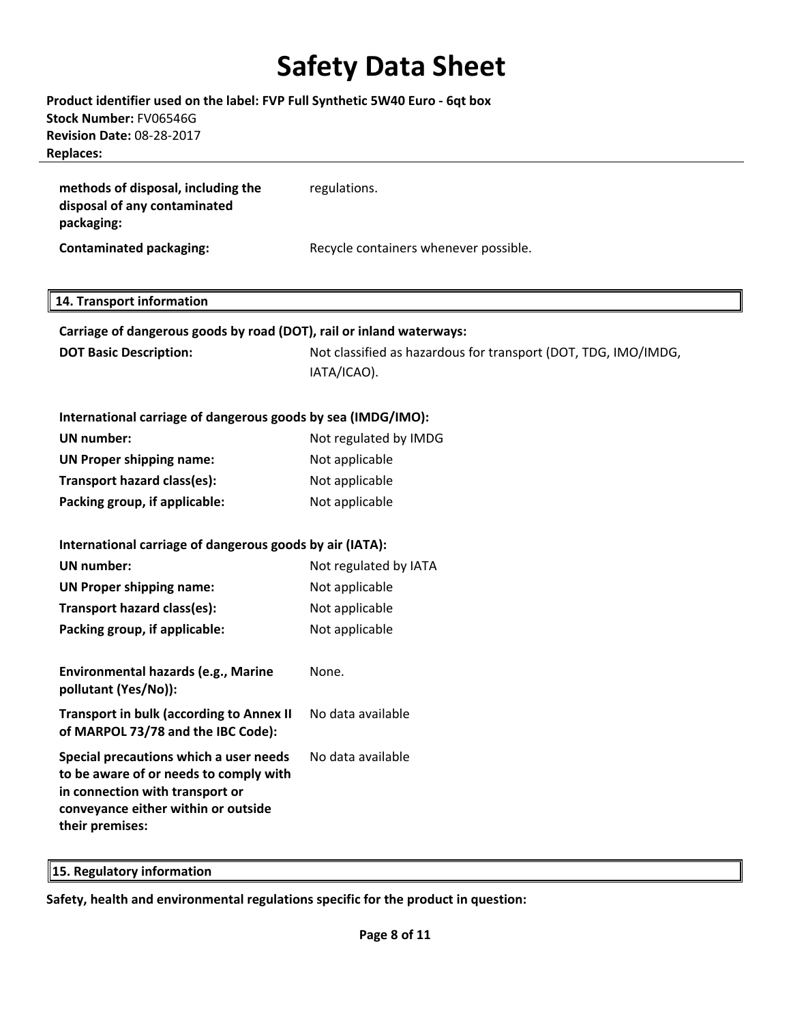### **Product identifier used on the label: FVP Full Synthetic 5W40 Euro ‐ 6qt box Stock Number:** FV06546G **Revision Date:** 08‐28‐2017 **Replaces:**

| methods of disposal, including the<br>disposal of any contaminated<br>packaging: | regulations.                          |
|----------------------------------------------------------------------------------|---------------------------------------|
| Contaminated packaging:                                                          | Recycle containers whenever possible. |

### **14. Transport information**

| 14. Transport information                                                                                                                                                     |                                                                |
|-------------------------------------------------------------------------------------------------------------------------------------------------------------------------------|----------------------------------------------------------------|
| Carriage of dangerous goods by road (DOT), rail or inland waterways:                                                                                                          |                                                                |
| <b>DOT Basic Description:</b>                                                                                                                                                 | Not classified as hazardous for transport (DOT, TDG, IMO/IMDG, |
|                                                                                                                                                                               | IATA/ICAO).                                                    |
| International carriage of dangerous goods by sea (IMDG/IMO):                                                                                                                  |                                                                |
| <b>UN number:</b>                                                                                                                                                             | Not regulated by IMDG                                          |
| <b>UN Proper shipping name:</b>                                                                                                                                               | Not applicable                                                 |
| Transport hazard class(es):                                                                                                                                                   | Not applicable                                                 |
| Packing group, if applicable:                                                                                                                                                 | Not applicable                                                 |
|                                                                                                                                                                               |                                                                |
| International carriage of dangerous goods by air (IATA):                                                                                                                      |                                                                |
| UN number:                                                                                                                                                                    | Not regulated by IATA                                          |
| <b>UN Proper shipping name:</b>                                                                                                                                               | Not applicable                                                 |
| Transport hazard class(es):                                                                                                                                                   | Not applicable                                                 |
| Packing group, if applicable:                                                                                                                                                 | Not applicable                                                 |
|                                                                                                                                                                               |                                                                |
| Environmental hazards (e.g., Marine<br>pollutant (Yes/No)):                                                                                                                   | None.                                                          |
| <b>Transport in bulk (according to Annex II</b><br>of MARPOL 73/78 and the IBC Code):                                                                                         | No data available                                              |
| Special precautions which a user needs<br>to be aware of or needs to comply with<br>in connection with transport or<br>conveyance either within or outside<br>their premises: | No data available                                              |
|                                                                                                                                                                               |                                                                |

**15. Regulatory information** 

**Safety, health and environmental regulations specific for the product in question:**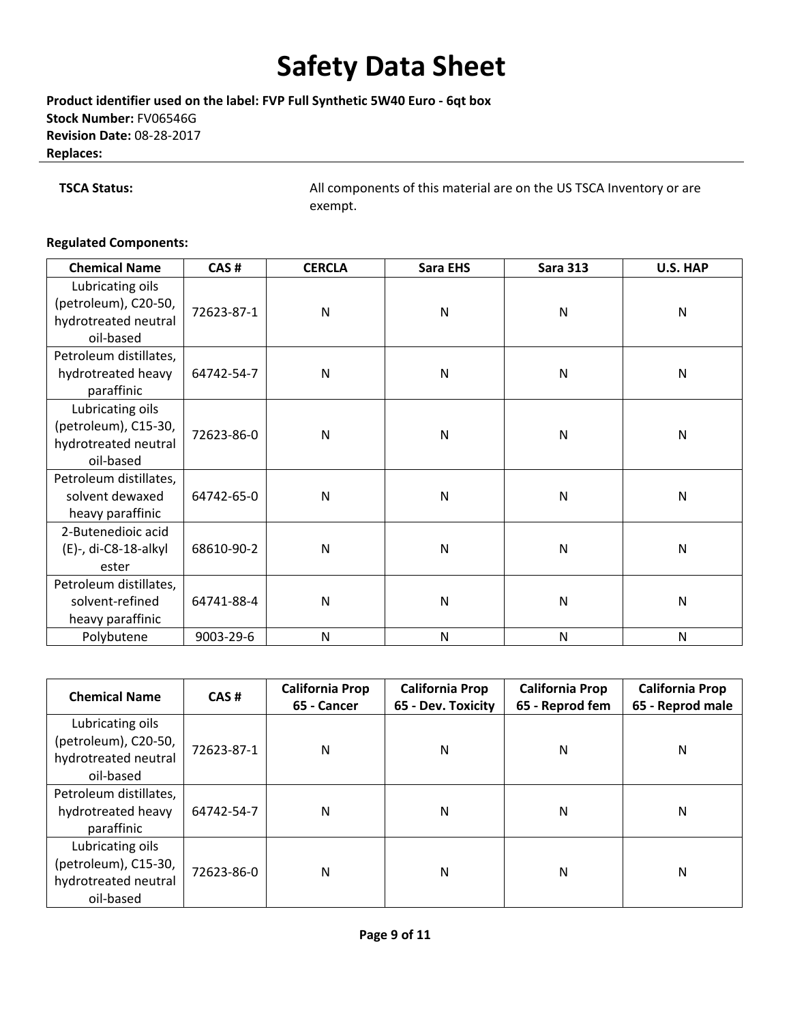**Product identifier used on the label: FVP Full Synthetic 5W40 Euro ‐ 6qt box Stock Number:** FV06546G **Revision Date:** 08‐28‐2017 **Replaces:**

**TSCA Status: All components of this material are on the US TSCA Inventory or are** exempt.

### **Regulated Components:**

| <b>Chemical Name</b>                                                          | CAS#       | <b>CERCLA</b> | <b>Sara EHS</b> | <b>Sara 313</b> | U.S. HAP |
|-------------------------------------------------------------------------------|------------|---------------|-----------------|-----------------|----------|
| Lubricating oils<br>(petroleum), C20-50,<br>hydrotreated neutral<br>oil-based | 72623-87-1 | N             | N               | $\mathsf{N}$    | N        |
| Petroleum distillates,<br>hydrotreated heavy<br>paraffinic                    | 64742-54-7 | N             | $\mathsf{N}$    | $\mathsf{N}$    | N        |
| Lubricating oils<br>(petroleum), C15-30,<br>hydrotreated neutral<br>oil-based | 72623-86-0 | N             | N               | N               | N        |
| Petroleum distillates,<br>solvent dewaxed<br>heavy paraffinic                 | 64742-65-0 | N             | N               | N               | N        |
| 2-Butenedioic acid<br>(E)-, di-C8-18-alkyl<br>ester                           | 68610-90-2 | N             | N               | N               | N        |
| Petroleum distillates,<br>solvent-refined<br>heavy paraffinic                 | 64741-88-4 | N             | N               | N               | N        |
| Polybutene                                                                    | 9003-29-6  | N             | N               | $\mathsf{N}$    | N        |

| <b>Chemical Name</b>                                                          | CAS#       | <b>California Prop</b><br><b>California Prop</b><br>65 - Cancer<br>65 - Dev. Toxicity |   | <b>California Prop</b><br>65 - Reprod fem | <b>California Prop</b><br>65 - Reprod male |
|-------------------------------------------------------------------------------|------------|---------------------------------------------------------------------------------------|---|-------------------------------------------|--------------------------------------------|
| Lubricating oils<br>(petroleum), C20-50,<br>hydrotreated neutral<br>oil-based | 72623-87-1 | N                                                                                     | N | N                                         | N                                          |
| Petroleum distillates,<br>hydrotreated heavy<br>paraffinic                    | 64742-54-7 | N                                                                                     | N | N                                         | N                                          |
| Lubricating oils<br>(petroleum), C15-30,<br>hydrotreated neutral<br>oil-based | 72623-86-0 | N                                                                                     | N | N                                         | N                                          |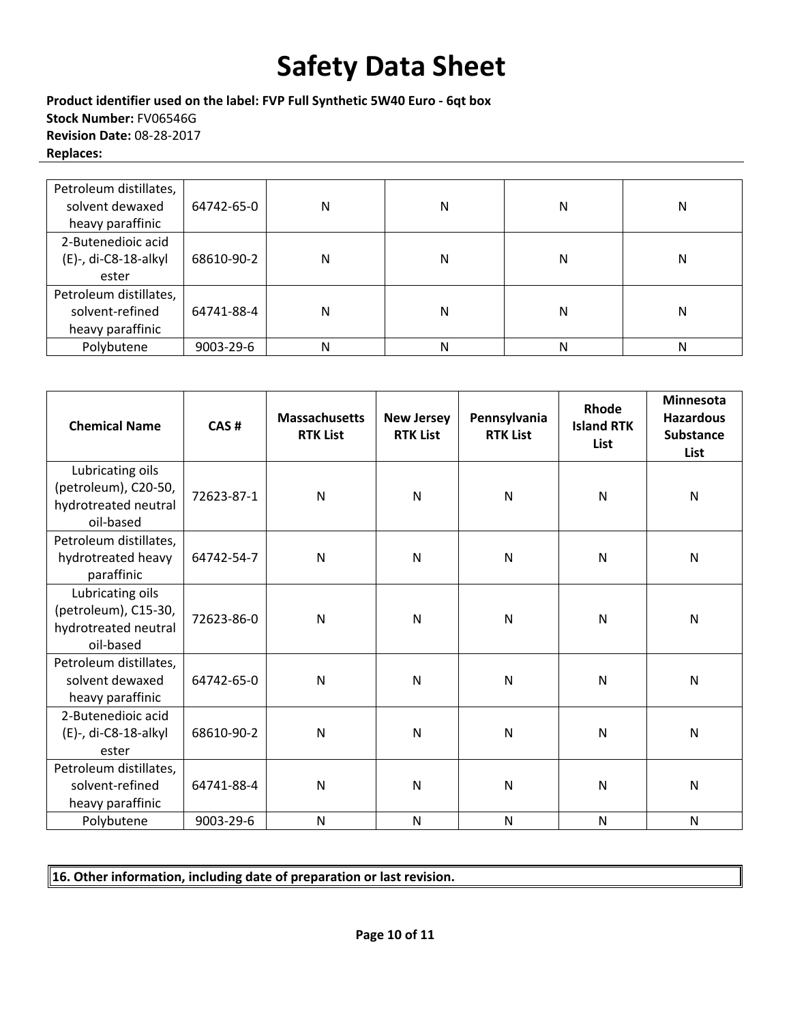**Product identifier used on the label: FVP Full Synthetic 5W40 Euro ‐ 6qt box Stock Number:** FV06546G **Revision Date:** 08‐28‐2017 **Replaces:**

| Petroleum distillates,<br>solvent dewaxed<br>heavy paraffinic | 64742-65-0 | N | N | N | Ν |
|---------------------------------------------------------------|------------|---|---|---|---|
| 2-Butenedioic acid<br>(E)-, di-C8-18-alkyl<br>ester           | 68610-90-2 | N | Ν | N | Ν |
| Petroleum distillates,<br>solvent-refined<br>heavy paraffinic | 64741-88-4 | N | N | N | Ν |
| Polybutene                                                    | 9003-29-6  | Ν | N | N | Ν |

| <b>Chemical Name</b>                                                          | CAS#       | <b>Massachusetts</b><br><b>RTK List</b> | <b>New Jersey</b><br><b>RTK List</b> | Pennsylvania<br><b>RTK List</b> | Rhode<br><b>Island RTK</b><br>List | <b>Minnesota</b><br><b>Hazardous</b><br><b>Substance</b><br><b>List</b> |
|-------------------------------------------------------------------------------|------------|-----------------------------------------|--------------------------------------|---------------------------------|------------------------------------|-------------------------------------------------------------------------|
| Lubricating oils<br>(petroleum), C20-50,<br>hydrotreated neutral<br>oil-based | 72623-87-1 | N                                       | N                                    | $\mathsf{N}$                    | $\mathsf{N}$                       | $\mathsf{N}$                                                            |
| Petroleum distillates,<br>hydrotreated heavy<br>paraffinic                    | 64742-54-7 | N                                       | $\mathsf{N}$                         | N                               | $\mathsf{N}$                       | N                                                                       |
| Lubricating oils<br>(petroleum), C15-30,<br>hydrotreated neutral<br>oil-based | 72623-86-0 | N                                       | $\mathsf{N}$                         | N                               | $\mathsf{N}$                       | N                                                                       |
| Petroleum distillates,<br>solvent dewaxed<br>heavy paraffinic                 | 64742-65-0 | N                                       | N                                    | $\mathsf{N}$                    | $\mathsf{N}$                       | N                                                                       |
| 2-Butenedioic acid<br>(E)-, di-C8-18-alkyl<br>ester                           | 68610-90-2 | N                                       | N                                    | N                               | $\mathsf{N}$                       | N                                                                       |
| Petroleum distillates,<br>solvent-refined<br>heavy paraffinic                 | 64741-88-4 | N                                       | N                                    | $\mathsf{N}$                    | $\mathsf{N}$                       | $\overline{N}$                                                          |
| Polybutene                                                                    | 9003-29-6  | N                                       | N                                    | N                               | N                                  | N                                                                       |

### **16. Other information, including date of preparation or last revision.**